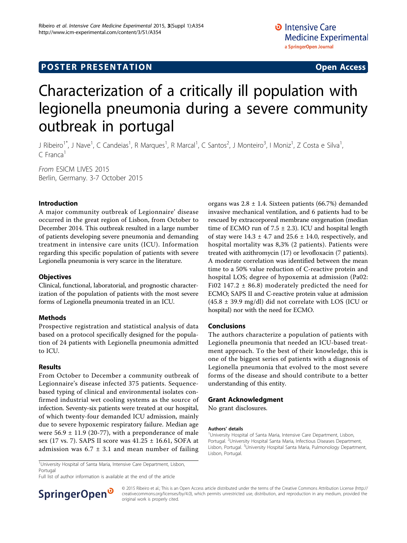## **POSTER PRESENTATION CONSUMING ACCESS**

# Characterization of a critically ill population with legionella pneumonia during a severe community outbreak in portugal

J Ribeiro<sup>1\*</sup>, J Nave<sup>1</sup>, C Candeias<sup>1</sup>, R Marques<sup>1</sup>, R Marcal<sup>1</sup>, C Santos<sup>2</sup>, J Monteiro<sup>3</sup>, I Moniz<sup>1</sup>, Z Costa e Silva<sup>1</sup> ,  $C$  Franca<sup>1</sup>

From ESICM LIVES 2015 Berlin, Germany. 3-7 October 2015

## Introduction

A major community outbreak of Legionnaire' disease occurred in the great region of Lisbon, from October to December 2014. This outbreak resulted in a large number of patients developing severe pneumonia and demanding treatment in intensive care units (ICU). Information regarding this specific population of patients with severe Legionella pneumonia is very scarce in the literature.

### **Objectives**

Clinical, functional, laboratorial, and prognostic characterization of the population of patients with the most severe forms of Legionella pneumonia treated in an ICU.

### Methods

Prospective registration and statistical analysis of data based on a protocol specifically designed for the population of 24 patients with Legionella pneumonia admitted to ICU.

### Results

From October to December a community outbreak of Legionnaire's disease infected 375 patients. Sequencebased typing of clinical and environmental isolates confirmed industrial wet cooling systems as the source of infection. Seventy-six patients were treated at our hospital, of which twenty-four demanded ICU admission, mainly due to severe hypoxemic respiratory failure. Median age were  $56.9 \pm 11.9$  (20-77), with a preponderance of male sex (17 vs. 7). SAPS II score was 41.25 ± 16.61, SOFA at admission was  $6.7 \pm 3.1$  and mean number of failing

organs was  $2.8 \pm 1.4$ . Sixteen patients (66.7%) demanded invasive mechanical ventilation, and 6 patients had to be rescued by extracorporeal membrane oxygenation (median time of ECMO run of  $7.5 \pm 2.3$ ). ICU and hospital length of stay were  $14.3 \pm 4.7$  and  $25.6 \pm 14.0$ , respectively, and hospital mortality was 8,3% (2 patients). Patients were treated with azithromycin (17) or levofloxacin (7 patients). A moderate correlation was identified between the mean time to a 50% value reduction of C-reactive protein and hospital LOS; degree of hypoxemia at admission (Pa02: Fi02 147.2  $\pm$  86.8) moderately predicted the need for ECMO; SAPS II and C-reactive protein value at admission  $(45.8 \pm 39.9 \text{ mg/dl})$  did not correlate with LOS (ICU or hospital) nor with the need for ECMO.

## Conclusions

The authors characterize a population of patients with Legionella pneumonia that needed an ICU-based treatment approach. To the best of their knowledge, this is one of the biggest series of patients with a diagnosis of Legionella pneumonia that evolved to the most severe forms of the disease and should contribute to a better understanding of this entity.

#### Grant Acknowledgment

No grant disclosures.

#### Authors' details <sup>1</sup>

<sup>1</sup>University Hospital of Santa Maria, Intensive Care Department, Lisbon, Portugal. <sup>2</sup>University Hospital Santa Maria, Infectious Diseases Department, Lisbon, Portugal. <sup>3</sup>University Hospital Santa Maria, Pulmonology Department Lisbon, Portugal.

<sup>1</sup>University Hospital of Santa Maria, Intensive Care Department, Lisbon, Portugal

Full list of author information is available at the end of the article



© 2015 Ribeiro et al.; This is an Open Access article distributed under the terms of the Creative Commons Attribution License [\(http://](http://creativecommons.org/licenses/by/4.0) [creativecommons.org/licenses/by/4.0](http://creativecommons.org/licenses/by/4.0)), which permits unrestricted use, distribution, and reproduction in any medium, provided the original work is properly cited.